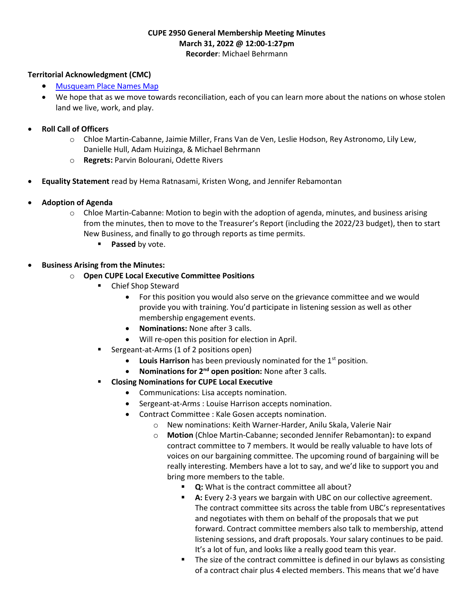#### CUPE 2950 General Membership Meeting Minutes March 31, 2022 @ 12:00-1:27pm Recorder: Michael Behrmann

#### Territorial Acknowledgment (CMC)

- Musqueam Place Names Map
- We hope that as we move towards reconciliation, each of you can learn more about the nations on whose stolen land we live, work, and play.

#### Roll Call of Officers

- o Chloe Martin-Cabanne, Jaimie Miller, Frans Van de Ven, Leslie Hodson, Rey Astronomo, Lily Lew, Danielle Hull, Adam Huizinga, & Michael Behrmann
- o Regrets: Parvin Bolourani, Odette Rivers
- Equality Statement read by Hema Ratnasami, Kristen Wong, and Jennifer Rebamontan
- Adoption of Agenda
	- o Chloe Martin-Cabanne: Motion to begin with the adoption of agenda, minutes, and business arising from the minutes, then to move to the Treasurer's Report (including the 2022/23 budget), then to start New Business, and finally to go through reports as time permits.
		- **Passed by vote.**

#### Business Arising from the Minutes:

- o Open CUPE Local Executive Committee Positions
	- Chief Shop Steward
		- For this position you would also serve on the grievance committee and we would provide you with training. You'd participate in listening session as well as other membership engagement events.
		- Nominations: None after 3 calls.
		- Will re-open this position for election in April.
	- Sergeant-at-Arms (1 of 2 positions open)
		- $\bullet$  Louis Harrison has been previously nominated for the 1<sup>st</sup> position.
		- Nominations for 2<sup>nd</sup> open position: None after 3 calls.
	- **EXECUTE:** Closing Nominations for CUPE Local Executive
		- Communications: Lisa accepts nomination.
		- Sergeant-at-Arms : Louise Harrison accepts nomination.
		- Contract Committee : Kale Gosen accepts nomination.
			- o New nominations: Keith Warner-Harder, Anilu Skala, Valerie Nair
			- o Motion (Chloe Martin-Cabanne; seconded Jennifer Rebamontan): to expand contract committee to 7 members. It would be really valuable to have lots of voices on our bargaining committee. The upcoming round of bargaining will be really interesting. Members have a lot to say, and we'd like to support you and bring more members to the table.
				- **Q:** What is the contract committee all about?
				- **A:** Every 2-3 years we bargain with UBC on our collective agreement. The contract committee sits across the table from UBC's representatives and negotiates with them on behalf of the proposals that we put forward. Contract committee members also talk to membership, attend listening sessions, and draft proposals. Your salary continues to be paid. It's a lot of fun, and looks like a really good team this year.
				- The size of the contract committee is defined in our bylaws as consisting of a contract chair plus 4 elected members. This means that we'd have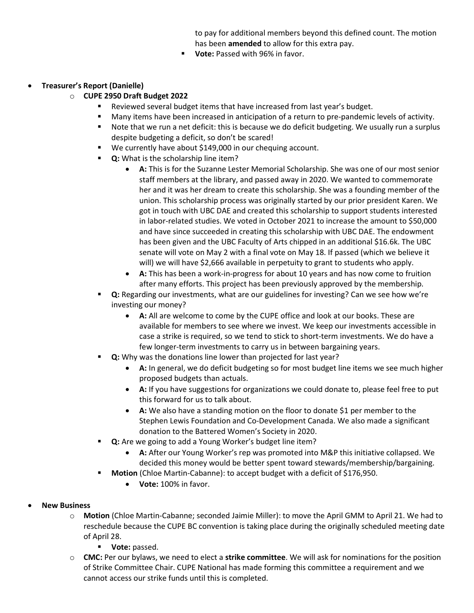to pay for additional members beyond this defined count. The motion has been amended to allow for this extra pay.

- Vote: Passed with 96% in favor.
- Treasurer's Report (Danielle)
	- o CUPE 2950 Draft Budget 2022
		- Reviewed several budget items that have increased from last year's budget.
		- **Many items have been increased in anticipation of a return to pre-pandemic levels of activity.**
		- **Note that we run a net deficit: this is because we do deficit budgeting. We usually run a surplus** despite budgeting a deficit, so don't be scared!
		- We currently have about \$149,000 in our chequing account.
		- **Q:** What is the scholarship line item?
			- A: This is for the Suzanne Lester Memorial Scholarship. She was one of our most senior staff members at the library, and passed away in 2020. We wanted to commemorate her and it was her dream to create this scholarship. She was a founding member of the union. This scholarship process was originally started by our prior president Karen. We got in touch with UBC DAE and created this scholarship to support students interested in labor-related studies. We voted in October 2021 to increase the amount to \$50,000 and have since succeeded in creating this scholarship with UBC DAE. The endowment has been given and the UBC Faculty of Arts chipped in an additional \$16.6k. The UBC senate will vote on May 2 with a final vote on May 18. If passed (which we believe it will) we will have \$2,666 available in perpetuity to grant to students who apply.
			- A: This has been a work-in-progress for about 10 years and has now come to fruition after many efforts. This project has been previously approved by the membership.
		- Q: Regarding our investments, what are our guidelines for investing? Can we see how we're investing our money?
			- A: All are welcome to come by the CUPE office and look at our books. These are available for members to see where we invest. We keep our investments accessible in case a strike is required, so we tend to stick to short-term investments. We do have a few longer-term investments to carry us in between bargaining years.
		- Q: Why was the donations line lower than projected for last year?
			- A: In general, we do deficit budgeting so for most budget line items we see much higher proposed budgets than actuals.
			- A: If you have suggestions for organizations we could donate to, please feel free to put this forward for us to talk about.
			- A: We also have a standing motion on the floor to donate \$1 per member to the Stephen Lewis Foundation and Co-Development Canada. We also made a significant donation to the Battered Women's Society in 2020.
		- **Q:** Are we going to add a Young Worker's budget line item?
			- A: After our Young Worker's rep was promoted into M&P this initiative collapsed. We decided this money would be better spent toward stewards/membership/bargaining.
		- **Motion** (Chloe Martin-Cabanne): to accept budget with a deficit of \$176,950.
			- Vote: 100% in favor.
- New Business
	- o Motion (Chloe Martin-Cabanne; seconded Jaimie Miller): to move the April GMM to April 21. We had to reschedule because the CUPE BC convention is taking place during the originally scheduled meeting date of April 28.
		- **Vote:** passed.
	- $\circ$  CMC: Per our bylaws, we need to elect a strike committee. We will ask for nominations for the position of Strike Committee Chair. CUPE National has made forming this committee a requirement and we cannot access our strike funds until this is completed.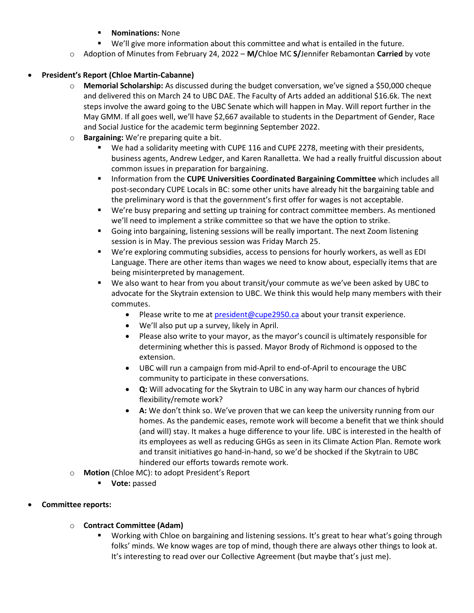### Nominations: None

- We'll give more information about this committee and what is entailed in the future.
- Adoption of Minutes from February 24, 2022 M/Chloe MC S/Jennifer Rebamontan Carried by vote

## President's Report (Chloe Martin-Cabanne)

- o Memorial Scholarship: As discussed during the budget conversation, we've signed a \$50,000 cheque and delivered this on March 24 to UBC DAE. The Faculty of Arts added an additional \$16.6k. The next steps involve the award going to the UBC Senate which will happen in May. Will report further in the May GMM. If all goes well, we'll have \$2,667 available to students in the Department of Gender, Race and Social Justice for the academic term beginning September 2022.
- $\circ$  Bargaining: We're preparing quite a bit.
	- We had a solidarity meeting with CUPE 116 and CUPE 2278, meeting with their presidents, business agents, Andrew Ledger, and Karen Ranalletta. We had a really fruitful discussion about common issues in preparation for bargaining.
	- **Information from the CUPE Universities Coordinated Bargaining Committee** which includes all post-secondary CUPE Locals in BC: some other units have already hit the bargaining table and the preliminary word is that the government's first offer for wages is not acceptable.
	- We're busy preparing and setting up training for contract committee members. As mentioned we'll need to implement a strike committee so that we have the option to strike.
	- Going into bargaining, listening sessions will be really important. The next Zoom listening session is in May. The previous session was Friday March 25.
	- We're exploring commuting subsidies, access to pensions for hourly workers, as well as EDI Language. There are other items than wages we need to know about, especially items that are being misinterpreted by management.
	- We also want to hear from you about transit/your commute as we've been asked by UBC to advocate for the Skytrain extension to UBC. We think this would help many members with their commutes.
		- Please write to me at **president@cupe2950.ca** about your transit experience.
		- We'll also put up a survey, likely in April.
		- Please also write to your mayor, as the mayor's council is ultimately responsible for determining whether this is passed. Mayor Brody of Richmond is opposed to the extension.
		- UBC will run a campaign from mid-April to end-of-April to encourage the UBC community to participate in these conversations.
		- Q: Will advocating for the Skytrain to UBC in any way harm our chances of hybrid flexibility/remote work?
		- A: We don't think so. We've proven that we can keep the university running from our homes. As the pandemic eases, remote work will become a benefit that we think should (and will) stay. It makes a huge difference to your life. UBC is interested in the health of its employees as well as reducing GHGs as seen in its Climate Action Plan. Remote work and transit initiatives go hand-in-hand, so we'd be shocked if the Skytrain to UBC hindered our efforts towards remote work.
- o Motion (Chloe MC): to adopt President's Report
	- **Vote:** passed

# Committee reports:

- o Contract Committee (Adam)
	- Working with Chloe on bargaining and listening sessions. It's great to hear what's going through folks' minds. We know wages are top of mind, though there are always other things to look at. It's interesting to read over our Collective Agreement (but maybe that's just me).